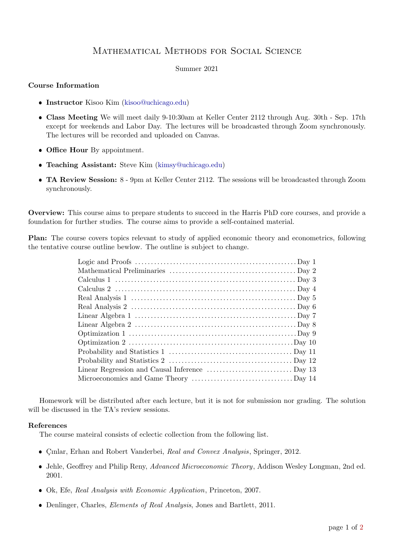## Mathematical Methods for Social Science

## Summer 2021

## Course Information

- **Instructor** Kisoo Kim [\(kisoo@uchicago.edu\)](mailto:kisoo@uchicago.edu)
- Class Meeting We will meet daily 9-10:30am at Keller Center 2112 through Aug. 30th Sep. 17th except for weekends and Labor Day. The lectures will be broadcasted through Zoom synchronously. The lectures will be recorded and uploaded on Canvas.
- Office Hour By appointment.
- Teaching Assistant: Steve Kim [\(kimsy@uchicago.edu\)](mailto:kimsy@uchicago.edu)
- TA Review Session: 8 9pm at Keller Center 2112. The sessions will be broadcasted through Zoom synchronously.

Overview: This course aims to prepare students to succeed in the Harris PhD core courses, and provide a foundation for further studies. The course aims to provide a self-contained material.

Plan: The course covers topics relevant to study of applied economic theory and econometrics, following the tentative course outline bewlow. The outline is subject to change.

Homework will be distributed after each lecture, but it is not for submission nor grading. The solution will be discussed in the TA's review sessions.

## References

The course mateiral consists of eclectic collection from the following list.

- Gunlar, Erhan and Robert Vanderbei, Real and Convex Analysis, Springer, 2012.
- Jehle, Geoffrey and Philip Reny, Advanced Microeconomic Theory, Addison Wesley Longman, 2nd ed. 2001.
- Ok, Efe, Real Analysis with Economic Application, Princeton, 2007.
- Denlinger, Charles, Elements of Real Analysis, Jones and Bartlett, 2011.